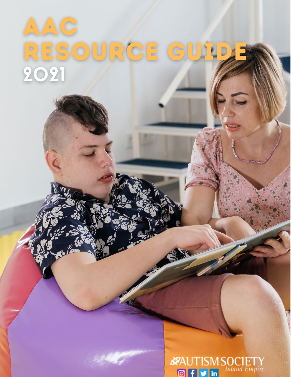### $\begin{array}{c}\n\bullet \\
\bullet\n\end{array}$  $\begin{array}{c}\n\triangle\n\end{array}$ OURGE G S  $\frac{D}{D}$ 2021

**AUTISM SOCIETY**  $\bullet$  $\mathbf{f}$  $\blacktriangleright$  in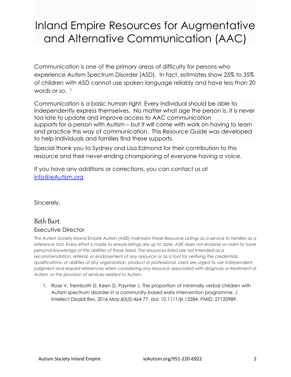## Inland Empire Resources for Augmentative and Alternative Communication (AAC)

Communication is one of the primary areas of difficulty for persons who experience Autism Spectrum Disorder (ASD). In fact, estimates show 25% to 35% of children with ASD cannot use spoken language reliably and have less than 20 words or so.  $1$ 

Communication is a basic human right. Every individual should be able to independently express themselves. No matter what age the person is, it is never too late to update and improve access to AAC communication supports for a person with Autism – but it will come with work on having to learn and practice this way of communication. This Resource Guide was developed to help individuals and families find these supports.

Special thank you to Sydney and Lisa Edmond for their contribution to this resource and their never-ending championing of everyone having a voice.

If you have any additions or corrections, you can contact us at [info@ieAutism.org](mailto:info@ieautism.org)

Sincerely,

### Beth Burt Executive Director

*The Autism Society Inland Empire Autism (ASIE) maintains these Resource Listings as a service to families as a*  reference tool. Every effort is made to ensure listings are up to date. ASIE does not endorse or claim to have *personal knowledge of the abilities of those listed. The resources listed are not intended as a recommendation, referral, or endorsement of any resource or as a tool for verifying the credentials, qualifications, or abilities of any organization, product or professional. Users are urged to use independent judgment and request references when considering any resource associated with diagnosis or treatment of Autism, or the provision of services related to Autism.*

1. Rose V, Trembath D, Keen D, Paynter J. The proportion of minimally verbal children with Autism spectrum disorder in a community-based early intervention programme. J Intellect Disabil Res. 2016 May;60(5):464-77. doi: 10.1111/jir.12284. PMID: 27120989.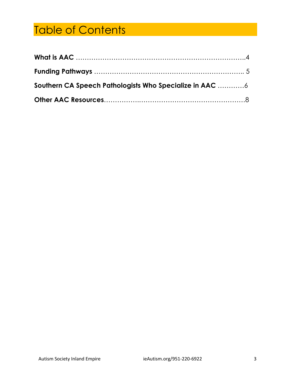## Table of Contents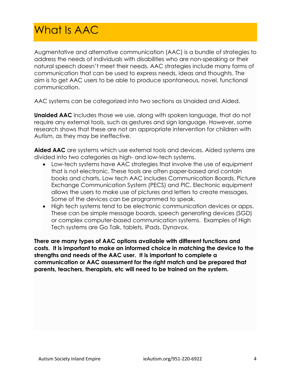## What Is AAC

Augmentative and alternative communication (AAC) is a bundle of strategies to address the needs of individuals with disabilities who are non-speaking or their natural speech doesn't meet their needs. AAC strategies include many forms of communication that can be used to express needs, ideas and thoughts. The aim is to get AAC users to be able to produce spontaneous, novel, functional communication.

AAC systems can be categorized into two sections as Unaided and Aided.

**Unaided AAC** includes those we use, along with spoken language, that do not require any external tools, such as gestures and sign language. However, some research shows that these are not an appropriate intervention for children with Autism, as they may be ineffective.

**Aided AAC** are systems which use external tools and devices. Aided systems are divided into two categories as high- and low-tech systems.

- Low-tech systems have AAC strategies that involve the use of equipment that is not electronic. These tools are often paper-based and contain books and charts. Low tech AAC includes Communication Boards, Picture Exchange Communication System (PECS) and PIC. Electronic equipment allows the users to make use of pictures and letters to create messages. Some of the devices can be programmed to speak.
- High tech systems tend to be electronic communication devices or apps. These can be simple message boards, speech generating devices (SGD) or complex computer-based communication systems. Examples of High Tech systems are Go Talk, tablets, iPads, Dynavox.

**There are many types of AAC options available with different functions and costs. It is important to make an informed choice in matching the device to the strengths and needs of the AAC user. It is important to complete a communication or AAC assessment for the right match and be prepared that parents, teachers, therapists, etc will need to be trained on the system.**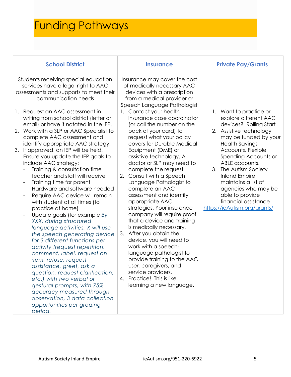# Funding Pathways

| <b>School District</b>                                                                                                                                                                                                                                                                                                                                                                                                                                                                                                                                                                                                                                                                                                                                                                                                                                                                                                                                                                                                                                                                       | <b>Insurance</b>                                                                                                                                                                                                                                                                                                                                                                                                                                                                                                                                                                                                                                                                                                                                                                            | <b>Private Pay/Grants</b>                                                                                                                                                                                                                                                                                                                                                                        |
|----------------------------------------------------------------------------------------------------------------------------------------------------------------------------------------------------------------------------------------------------------------------------------------------------------------------------------------------------------------------------------------------------------------------------------------------------------------------------------------------------------------------------------------------------------------------------------------------------------------------------------------------------------------------------------------------------------------------------------------------------------------------------------------------------------------------------------------------------------------------------------------------------------------------------------------------------------------------------------------------------------------------------------------------------------------------------------------------|---------------------------------------------------------------------------------------------------------------------------------------------------------------------------------------------------------------------------------------------------------------------------------------------------------------------------------------------------------------------------------------------------------------------------------------------------------------------------------------------------------------------------------------------------------------------------------------------------------------------------------------------------------------------------------------------------------------------------------------------------------------------------------------------|--------------------------------------------------------------------------------------------------------------------------------------------------------------------------------------------------------------------------------------------------------------------------------------------------------------------------------------------------------------------------------------------------|
| Students receiving special education<br>services have a legal right to AAC<br>assessments and supports to meet their<br>communication needs                                                                                                                                                                                                                                                                                                                                                                                                                                                                                                                                                                                                                                                                                                                                                                                                                                                                                                                                                  | Insurance may cover the cost<br>of medically necessary AAC<br>devices with a prescription<br>from a medical provider or<br>Speech Language Pathologist                                                                                                                                                                                                                                                                                                                                                                                                                                                                                                                                                                                                                                      |                                                                                                                                                                                                                                                                                                                                                                                                  |
| Request an AAC assessment in<br>1.<br>writing from school district (letter or<br>email) or have it notated in the IEP.<br>Work with a SLP or AAC Specialist to<br>2.<br>complete AAC assessment and<br>identify appropriate AAC strategy.<br>If approved, an IEP will be held.<br>3.<br>Ensure you update the IEP goals to<br>include AAC strategy:<br>Training & consultation time<br>teacher and staff will receive<br>Training time for parent<br>Hardware and software needed<br>$\overline{\phantom{a}}$<br>Require AAC device will remain<br>with student at all times (to<br>practice at home)<br>Update goals (for example By<br>XXX, during structured<br>language activities, X will use<br>the speech generating device<br>for 3 different functions per<br>activity (request repetition,<br>comment, label, request an<br>item, refuse, request<br>assistance, greet, ask a<br>question, request clarification,<br>etc.) with two verbal or<br>gestural prompts, with 75%<br>accuracy measured through<br>observation, 3 data collection<br>opportunities per grading<br>period. | Contact your health<br>$\mathbf{1}$ .<br>insurance case coordinator<br>(or call the number on the<br>back of your card) to<br>request what your policy<br>covers for Durable Medical<br>Equipment (DME) or<br>assistive technology. A<br>doctor or SLP may need to<br>complete the request.<br>2. Consult with a Speech<br>Language Pathologist to<br>complete an AAC<br>assessment and identify<br>appropriate AAC<br>strategies. Your insurance<br>company will require proof<br>that a device and training<br>is medically necessary.<br>After you obtain the<br>3.<br>device, you will need to<br>work with a speech-<br>language pathologist to<br>provide training to the AAC<br>user, caregivers, and<br>service providers.<br>4. Practice! This is like<br>learning a new language. | 1. Want to practice or<br>explore different AAC<br>devices? Rolling Start<br>2. Assistive technology<br>may be funded by your<br><b>Health Savings</b><br>Accounts, Flexible<br>Spending Accounts or<br>ABLE accounts.<br>3. The Autism Society<br><b>Inland Empire</b><br>maintains a list of<br>agencies who may be<br>able to provide<br>financial assistance<br>https://ieAutism.org/grants/ |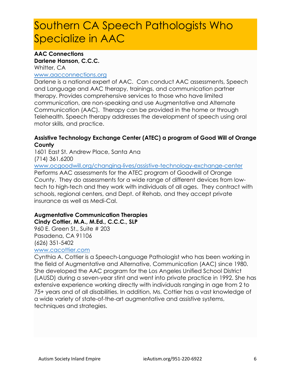## Southern CA Speech Pathologists Who Specialize in AAC

#### **AAC Connections**

#### **Darlene Hanson, C.C.C.** Whitter, CA

### [www.aacconnections.org](http://www.aacconnections.org/)

Darlene is a national expert of AAC. Can conduct AAC assessments, Speech and Language and AAC therapy, trainings, and communication partner therapy. Provides comprehensive services to those who have limited communication, are non-speaking and use Augmentative and Alternate Communication (AAC). Therapy can be provided in the home or through Telehealth. Speech therapy addresses the development of speech using oral motor skills, and practice.

#### **Assistive Technology Exchange Center (ATEC) a program of Good Will of Orange County**

1601 East St. Andrew Place, Santa Ana (714) 361.6200 [www.ocgoodwill.org/changing-lives/assistive-technology-exchange-center](http://www.ocgoodwill.org/changing-lives/assistive-technology-exchange-center) Performs AAC assessments for the ATEC program of Goodwill of Orange County. They do assessments for a wide range of different devices from lowtech to high-tech and they work with individuals of all ages. They contract with schools, regional centers, and Dept. of Rehab, and they accept private insurance as well as Medi-Cal.

### **Augmentative Communication Therapies**

**Cindy Cottier, M.A., M.Ed., C.C.C., SLP**

960 E. Green St., Suite # 203 Pasadena, CA 91106 (626) 351-5402

#### [www.cacottier.com](http://www.cacottier.com/)

Cynthia A. Cottier is a Speech-Language Pathologist who has been working in the field of Augmentative and Alternative, Communication (AAC) since 1980. She developed the AAC program for the Los Angeles Unified School District (LAUSD) during a seven-year stint and went into private practice in 1992. She has extensive experience working directly with individuals ranging in age from 2 to 75+ years and of all disabilities. In addition, Ms. Cottier has a vast knowledge of a wide variety of state-of-the-art augmentative and assistive systems, techniques and strategies.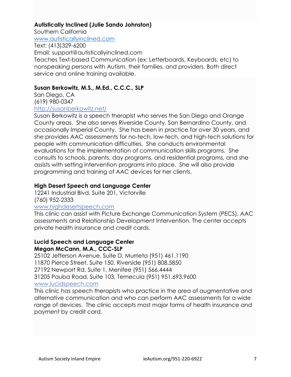#### **Autistically Inclined (Julie Sando Johnston)**

Southern California [www.autisticallyinclined.com](http://www.autisticallyinclined.com/)

Text: (413)329-6200 Email: support@autisticallyinclined.com Teaches Text-based Communication (ex: Letterboards, Keyboards, etc) to nonspeaking persons with Autism, their families, and providers. Both direct service and online training available.

#### **Susan Berkowitz, M.S., M.Ed., C.C.C., SLP**

San Diego, CA (619) 980-0347

#### <http://susanberkowitz.net/>

Susan Berkowitz is a speech therapist who serves the San Diego and Orange County areas. She also serves Riverside County, San Bernardino County, and occasionally Imperial County. She has been in practice for over 30 years, and she provides AAC assessments for no-tech, low-tech, and high-tech solutions for people with communication difficulties. She conducts environmental evaluations for the implementation of communication skills programs. She consults to schools, parents, day programs, and residential programs, and she assists with setting intervention programs into place. She will also provide programming and training of AAC devices for her clients.

#### **High Desert Speech and Language Center**

12241 Industrial Blvd. Suite 201, Victorville (760) 952-2333

#### [www.highdesertspeech.com](http://www.highdesertspeech.com/)

This clinic can assist with Picture Exchange Communication System (PECS), AAC assessments and Relationship Development Intervention. The center accepts private health insurance and credit cards.

#### **Lucid Speech and Language Center Megan McCann, M.A., CCC-SLP**

25102 Jefferson Avenue, Suite D, Murrieta (951) 461.1190 11870 Pierce Street, Suite 150, Riverside (951) 808.5850 27192 Newport Rd, Suite 1, Menifee (951) 566.4444 31205 Pauba Road, Suite 103, Temecula (951) 951.693.9600 [www.lucidspeech.com](http://www.lucidspeech.com/)

This clinic has speech therapists who practice in the area of augmentative and alternative communication and who can perform AAC assessments for a wide range of devices. The clinic accepts most major forms of health insurance and payment by credit card.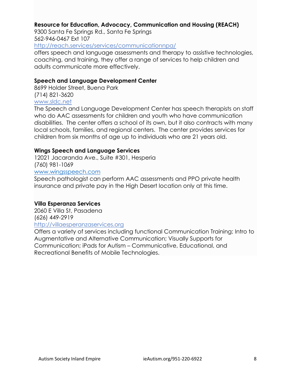#### **Resource for Education, Advocacy, Communication and Housing (REACH)**

9300 Santa Fe Springs Rd., Santa Fe Springs 562-946-0467 Ext 107

<http://reach.services/services/communicationnpa/>

offers speech and language assessments and therapy to assistive technologies, coaching, and training, they offer a range of services to help children and adults communicate more effectively.

#### **Speech and Language Development Center**

8699 Holder Street, Buena Park (714) 821-3620 [www.sldc.net](http://www.sldc.net/)

The Speech and Language Development Center has speech therapists on staff who do AAC assessments for children and youth who have communication disabilities. The center offers a school of its own, but it also contracts with many local schools, families, and regional centers. The center provides services for children from six months of age up to individuals who are 21 years old.

#### **Wings Speech and Language Services**

12021 Jacaranda Ave., Suite #301, Hesperia (760) 981-1069 [www.wingsspeech.com](http://www.wingsspeech.com/)

Speech pathologist can perform AAC assessments and PPO private health insurance and private pay in the High Desert location only at this time.

#### **Villa Esperanza Services**

2060 E Villa St, Pasadena (626) 449-2919 [http://villaesperanzaservices.org](http://villaesperanzaservices.org/)

Offers a variety of services including functional Communication Training; Intro to Augmentative and Alternative Communication; Visually Supports for Communication; iPads for Autism – Communicative, Educational, and Recreational Benefits of Mobile Technologies.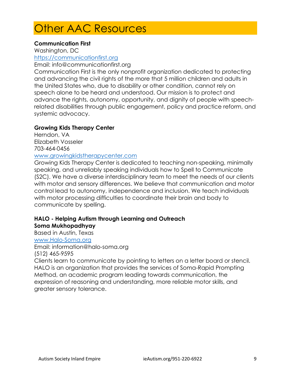### Other AAC Resources

#### **Communication First**

Washington, DC

[https://communicationfirst.org](https://communicationfirst.org/)

Email: info@communicationfirst.org

Communication First is the only nonprofit organization dedicated to protecting and advancing the civil rights of the more that 5 million children and adults in the United States who, due to disability or other condition, cannot rely on speech alone to be heard and understood. Our mission is to protect and advance the rights, autonomy, opportunity, and dignity of people with speechrelated disabilities through public engagement, policy and practice reform, and systemic advocacy.

#### **Growing Kids Therapy Center**

Herndon, VA Elizabeth Vosseler 703-464-0456

#### [www.growingkidstherapycenter.com](http://www.growingkidstherapycenter.com/)

Growing Kids Therapy Center is dedicated to teaching non-speaking, minimally speaking, and unreliably speaking individuals how to Spell to Communicate (S2C). We have a diverse interdisciplinary team to meet the needs of our clients with motor and sensory differences. We believe that communication and motor control lead to autonomy, independence and inclusion. We teach individuals with motor processing difficulties to coordinate their brain and body to communicate by spelling.

#### **HALO - Helping Autism through Learning and Outreach Soma Mukhopadhyay**

Based in Austin, Texas [www.Halo-Soma.org](http://www.halo-soma.org/)

Email: information@halo-soma.org (512) 465-9595

Clients learn to communicate by pointing to letters on a letter board or stencil. HALO is an organization that provides the services of Soma-Rapid Prompting Method, an academic program leading towards communication, the expression of reasoning and understanding, more reliable motor skills, and greater sensory tolerance.